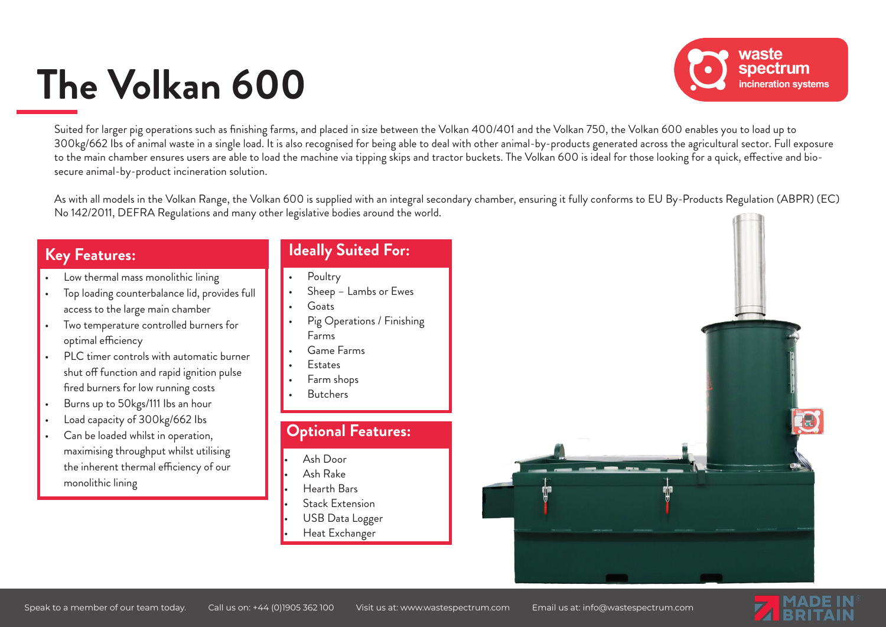# **The Volkan 600**



Suited for larger pig operations such as finishing farms, and placed in size between the Volkan 400/401 and the Volkan 750, the Volkan 600 enables you to load up to 300kg/662 lbs of animal waste in a single load. It is also recognised for being able to deal with other animal-by-products generated across the agricultural sector. Full exposure to the main chamber ensures users are able to load the machine via tipping skips and tractor buckets. The Volkan 600 is ideal for those looking for a quick, effective and biosecure animal-by-product incineration solution.

As with all models in the Volkan Range, the Volkan 600 is supplied with an integral secondary chamber, ensuring it fully conforms to EU By-Products Regulation (ABPR) (EC) No 142/2011, DEFRA Regulations and many other legislative bodies around the world.

#### **Key Features:**

- Low thermal mass monolithic lining
- Top loading counterbalance lid, provides full access to the large main chamber
- Two temperature controlled burners for optimal efficiency
- PLC timer controls with automatic burner shut off function and rapid ignition pulse fired burners for low running costs
- Burns up to 50kgs/111 Ibs an hour
- Load capacity of 300kg/662 Ibs
- Can be loaded whilst in operation, maximising throughput whilst utilising the inherent thermal efficiency of our monolithic lining

#### **Ideally Suited For:**

- Poultry
- Sheep Lambs or Ewes
- Goats
- Pig Operations / Finishing Farms
- Game Farms
- **Estates**
- Farm shops
- Butchers

#### **Optional Features:**

- Ash Door
- Ash Rake
- Hearth Bars
- Stack Extension
- USB Data Logger
- Heat Exchanger